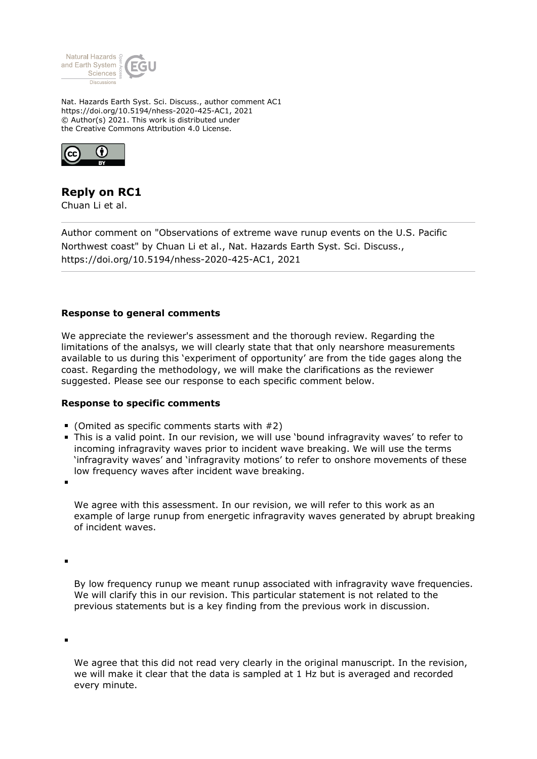

Nat. Hazards Earth Syst. Sci. Discuss., author comment AC1 https://doi.org/10.5194/nhess-2020-425-AC1, 2021 © Author(s) 2021. This work is distributed under the Creative Commons Attribution 4.0 License.



## **Reply on RC1**

Chuan Li et al.

Author comment on "Observations of extreme wave runup events on the U.S. Pacific Northwest coast" by Chuan Li et al., Nat. Hazards Earth Syst. Sci. Discuss., https://doi.org/10.5194/nhess-2020-425-AC1, 2021

## **Response to general comments**

We appreciate the reviewer's assessment and the thorough review. Regarding the limitations of the analsys, we will clearly state that that only nearshore measurements available to us during this 'experiment of opportunity' are from the tide gages along the coast. Regarding the methodology, we will make the clarifications as the reviewer suggested. Please see our response to each specific comment below.

## **Response to specific comments**

- $\blacksquare$  (Omited as specific comments starts with  $\#2$ )
- This is a valid point. In our revision, we will use 'bound infragravity waves' to refer to incoming infragravity waves prior to incident wave breaking. We will use the terms 'infragravity waves' and 'infragravity motions' to refer to onshore movements of these low frequency waves after incident wave breaking.

We agree with this assessment. In our revision, we will refer to this work as an example of large runup from energetic infragravity waves generated by abrupt breaking of incident waves.

By low frequency runup we meant runup associated with infragravity wave frequencies. We will clarify this in our revision. This particular statement is not related to the previous statements but is a key finding from the previous work in discussion.

We agree that this did not read very clearly in the original manuscript. In the revision, we will make it clear that the data is sampled at 1 Hz but is averaged and recorded every minute.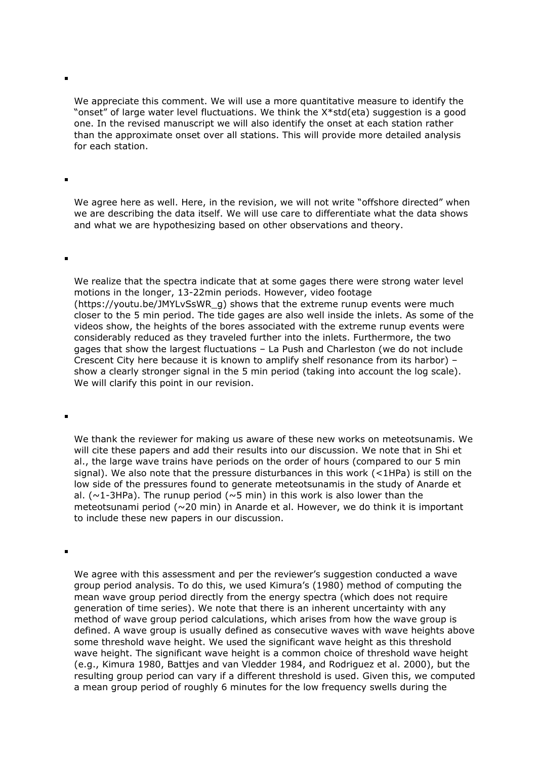We appreciate this comment. We will use a more quantitative measure to identify the "onset" of large water level fluctuations. We think the X\*std(eta) suggestion is a good one. In the revised manuscript we will also identify the onset at each station rather than the approximate onset over all stations. This will provide more detailed analysis for each station.

We agree here as well. Here, in the revision, we will not write "offshore directed" when we are describing the data itself. We will use care to differentiate what the data shows and what we are hypothesizing based on other observations and theory.

We realize that the spectra indicate that at some gages there were strong water level motions in the longer, 13-22min periods. However, video footage (https://youtu.be/JMYLvSsWR\_g) shows that the extreme runup events were much closer to the 5 min period. The tide gages are also well inside the inlets. As some of the videos show, the heights of the bores associated with the extreme runup events were considerably reduced as they traveled further into the inlets. Furthermore, the two gages that show the largest fluctuations – La Push and Charleston (we do not include Crescent City here because it is known to amplify shelf resonance from its harbor) – show a clearly stronger signal in the 5 min period (taking into account the log scale). We will clarify this point in our revision.

We thank the reviewer for making us aware of these new works on meteotsunamis. We will cite these papers and add their results into our discussion. We note that in Shi et al., the large wave trains have periods on the order of hours (compared to our 5 min signal). We also note that the pressure disturbances in this work (<1HPa) is still on the low side of the pressures found to generate meteotsunamis in the study of Anarde et al. ( $\sim$ 1-3HPa). The runup period ( $\sim$ 5 min) in this work is also lower than the meteotsunami period (~20 min) in Anarde et al. However, we do think it is important to include these new papers in our discussion.

 $\blacksquare$ 

We agree with this assessment and per the reviewer's suggestion conducted a wave group period analysis. To do this, we used Kimura's (1980) method of computing the mean wave group period directly from the energy spectra (which does not require generation of time series). We note that there is an inherent uncertainty with any method of wave group period calculations, which arises from how the wave group is defined. A wave group is usually defined as consecutive waves with wave heights above some threshold wave height. We used the significant wave height as this threshold wave height. The significant wave height is a common choice of threshold wave height (e.g., Kimura 1980, Battjes and van Vledder 1984, and Rodriguez et al. 2000), but the resulting group period can vary if a different threshold is used. Given this, we computed a mean group period of roughly 6 minutes for the low frequency swells during the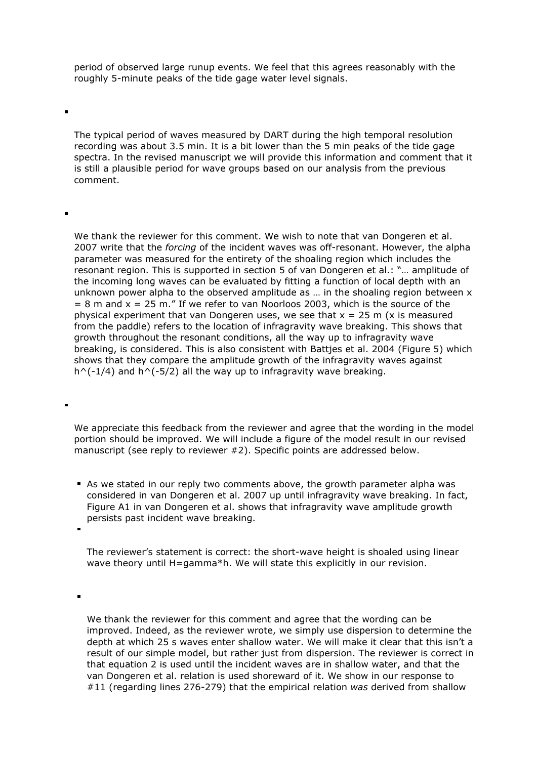period of observed large runup events. We feel that this agrees reasonably with the roughly 5-minute peaks of the tide gage water level signals.

The typical period of waves measured by DART during the high temporal resolution recording was about 3.5 min. It is a bit lower than the 5 min peaks of the tide gage spectra. In the revised manuscript we will provide this information and comment that it is still a plausible period for wave groups based on our analysis from the previous comment.

We thank the reviewer for this comment. We wish to note that van Dongeren et al. 2007 write that the *forcing* of the incident waves was off-resonant. However, the alpha parameter was measured for the entirety of the shoaling region which includes the resonant region. This is supported in section 5 of van Dongeren et al.: "… amplitude of the incoming long waves can be evaluated by fitting a function of local depth with an unknown power alpha to the observed amplitude as … in the shoaling region between x  $= 8$  m and  $x = 25$  m." If we refer to van Noorloos 2003, which is the source of the physical experiment that van Dongeren uses, we see that  $x = 25$  m (x is measured from the paddle) refers to the location of infragravity wave breaking. This shows that growth throughout the resonant conditions, all the way up to infragravity wave breaking, is considered. This is also consistent with Battjes et al. 2004 (Figure 5) which shows that they compare the amplitude growth of the infragravity waves against  $h^(-1/4)$  and  $h^(-5/2)$  all the way up to infragravity wave breaking.

We appreciate this feedback from the reviewer and agree that the wording in the model portion should be improved. We will include a figure of the model result in our revised manuscript (see reply to reviewer #2). Specific points are addressed below.

As we stated in our reply two comments above, the growth parameter alpha was considered in van Dongeren et al. 2007 up until infragravity wave breaking. In fact, Figure A1 in van Dongeren et al. shows that infragravity wave amplitude growth persists past incident wave breaking.

The reviewer's statement is correct: the short-wave height is shoaled using linear wave theory until H=gamma\*h. We will state this explicitly in our revision.

 $\blacksquare$ 

 $\blacksquare$ 

We thank the reviewer for this comment and agree that the wording can be improved. Indeed, as the reviewer wrote, we simply use dispersion to determine the depth at which 25 s waves enter shallow water. We will make it clear that this isn't a result of our simple model, but rather just from dispersion. The reviewer is correct in that equation 2 is used until the incident waves are in shallow water, and that the van Dongeren et al. relation is used shoreward of it. We show in our response to #11 (regarding lines 276-279) that the empirical relation *was* derived from shallow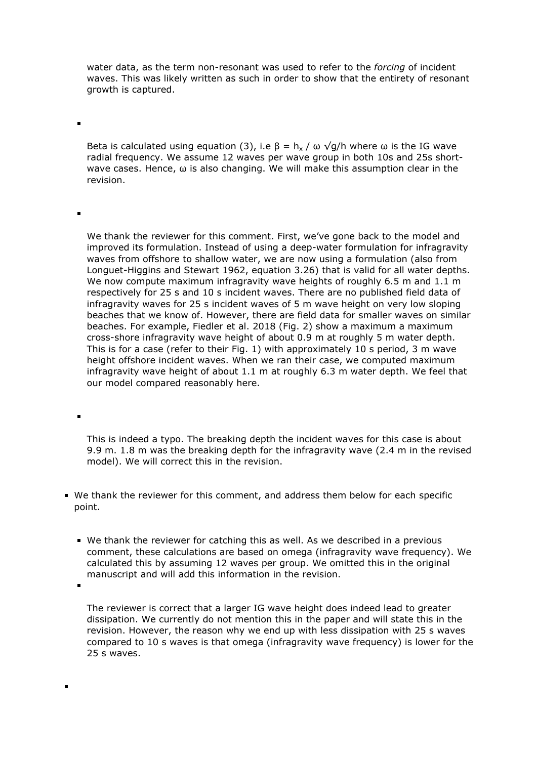water data, as the term non-resonant was used to refer to the *forcing* of incident waves. This was likely written as such in order to show that the entirety of resonant growth is captured.

Beta is calculated using equation (3), i.e  $\beta = h_x / \omega \sqrt{g/h}$  where  $\omega$  is the IG wave radial frequency. We assume 12 waves per wave group in both 10s and 25s shortwave cases. Hence,  $\omega$  is also changing. We will make this assumption clear in the revision.

We thank the reviewer for this comment. First, we've gone back to the model and improved its formulation. Instead of using a deep-water formulation for infragravity waves from offshore to shallow water, we are now using a formulation (also from Longuet-Higgins and Stewart 1962, equation 3.26) that is valid for all water depths. We now compute maximum infragravity wave heights of roughly 6.5 m and 1.1 m respectively for 25 s and 10 s incident waves. There are no published field data of infragravity waves for 25 s incident waves of 5 m wave height on very low sloping beaches that we know of. However, there are field data for smaller waves on similar beaches. For example, Fiedler et al. 2018 (Fig. 2) show a maximum a maximum cross-shore infragravity wave height of about 0.9 m at roughly 5 m water depth. This is for a case (refer to their Fig. 1) with approximately 10 s period, 3 m wave height offshore incident waves. When we ran their case, we computed maximum infragravity wave height of about 1.1 m at roughly 6.3 m water depth. We feel that our model compared reasonably here.

This is indeed a typo. The breaking depth the incident waves for this case is about 9.9 m. 1.8 m was the breaking depth for the infragravity wave (2.4 m in the revised model). We will correct this in the revision.

- We thank the reviewer for this comment, and address them below for each specific point.
	- We thank the reviewer for catching this as well. As we described in a previous comment, these calculations are based on omega (infragravity wave frequency). We calculated this by assuming 12 waves per group. We omitted this in the original manuscript and will add this information in the revision.

The reviewer is correct that a larger IG wave height does indeed lead to greater dissipation. We currently do not mention this in the paper and will state this in the revision. However, the reason why we end up with less dissipation with 25 s waves compared to 10 s waves is that omega (infragravity wave frequency) is lower for the 25 s waves.